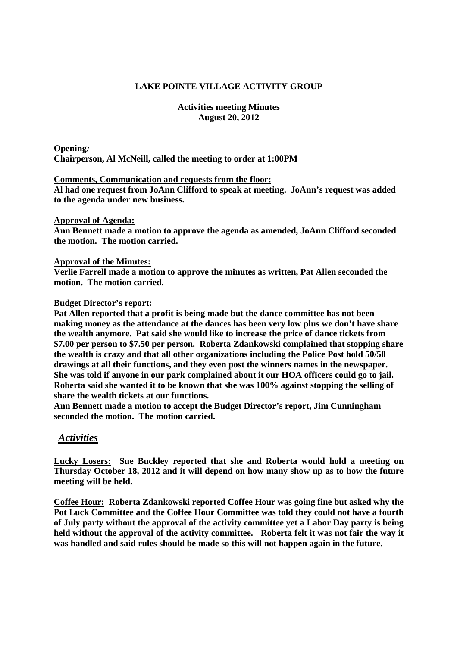## **LAKE POINTE VILLAGE ACTIVITY GROUP**

### **Activities meeting Minutes August 20, 2012**

**Opening***;*  **Chairperson, Al McNeill, called the meeting to order at 1:00PM** 

#### **Comments, Communication and requests from the floor:**

**Al had one request from JoAnn Clifford to speak at meeting. JoAnn's request was added to the agenda under new business.** 

#### **Approval of Agenda:**

**Ann Bennett made a motion to approve the agenda as amended, JoAnn Clifford seconded the motion. The motion carried.** 

#### **Approval of the Minutes:**

**Verlie Farrell made a motion to approve the minutes as written, Pat Allen seconded the motion. The motion carried.** 

#### **Budget Director's report:**

**Pat Allen reported that a profit is being made but the dance committee has not been making money as the attendance at the dances has been very low plus we don't have share the wealth anymore. Pat said she would like to increase the price of dance tickets from \$7.00 per person to \$7.50 per person. Roberta Zdankowski complained that stopping share the wealth is crazy and that all other organizations including the Police Post hold 50/50 drawings at all their functions, and they even post the winners names in the newspaper. She was told if anyone in our park complained about it our HOA officers could go to jail. Roberta said she wanted it to be known that she was 100% against stopping the selling of share the wealth tickets at our functions.** 

**Ann Bennett made a motion to accept the Budget Director's report, Jim Cunningham seconded the motion. The motion carried.** 

# *Activities*

**Lucky Losers: Sue Buckley reported that she and Roberta would hold a meeting on Thursday October 18, 2012 and it will depend on how many show up as to how the future meeting will be held.** 

**Coffee Hour: Roberta Zdankowski reported Coffee Hour was going fine but asked why the Pot Luck Committee and the Coffee Hour Committee was told they could not have a fourth of July party without the approval of the activity committee yet a Labor Day party is being held without the approval of the activity committee. Roberta felt it was not fair the way it was handled and said rules should be made so this will not happen again in the future.**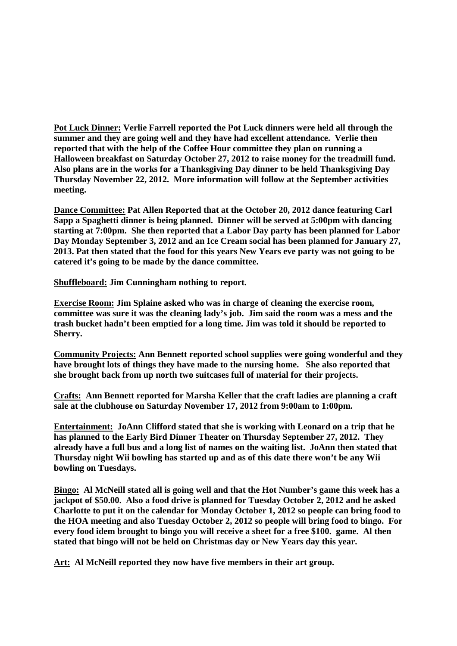**Pot Luck Dinner: Verlie Farrell reported the Pot Luck dinners were held all through the summer and they are going well and they have had excellent attendance. Verlie then reported that with the help of the Coffee Hour committee they plan on running a Halloween breakfast on Saturday October 27, 2012 to raise money for the treadmill fund. Also plans are in the works for a Thanksgiving Day dinner to be held Thanksgiving Day Thursday November 22, 2012. More information will follow at the September activities meeting.** 

**Dance Committee: Pat Allen Reported that at the October 20, 2012 dance featuring Carl Sapp a Spaghetti dinner is being planned. Dinner will be served at 5:00pm with dancing starting at 7:00pm. She then reported that a Labor Day party has been planned for Labor Day Monday September 3, 2012 and an Ice Cream social has been planned for January 27, 2013. Pat then stated that the food for this years New Years eve party was not going to be catered it's going to be made by the dance committee.** 

**Shuffleboard: Jim Cunningham nothing to report.** 

**Exercise Room: Jim Splaine asked who was in charge of cleaning the exercise room, committee was sure it was the cleaning lady's job. Jim said the room was a mess and the trash bucket hadn't been emptied for a long time. Jim was told it should be reported to Sherry.** 

**Community Projects: Ann Bennett reported school supplies were going wonderful and they have brought lots of things they have made to the nursing home. She also reported that she brought back from up north two suitcases full of material for their projects.** 

**Crafts: Ann Bennett reported for Marsha Keller that the craft ladies are planning a craft sale at the clubhouse on Saturday November 17, 2012 from 9:00am to 1:00pm.** 

**Entertainment: JoAnn Clifford stated that she is working with Leonard on a trip that he has planned to the Early Bird Dinner Theater on Thursday September 27, 2012. They already have a full bus and a long list of names on the waiting list. JoAnn then stated that Thursday night Wii bowling has started up and as of this date there won't be any Wii bowling on Tuesdays.** 

**Bingo: Al McNeill stated all is going well and that the Hot Number's game this week has a jackpot of \$50.00. Also a food drive is planned for Tuesday October 2, 2012 and he asked Charlotte to put it on the calendar for Monday October 1, 2012 so people can bring food to the HOA meeting and also Tuesday October 2, 2012 so people will bring food to bingo. For every food idem brought to bingo you will receive a sheet for a free \$100. game. Al then stated that bingo will not be held on Christmas day or New Years day this year.** 

**Art: Al McNeill reported they now have five members in their art group.**